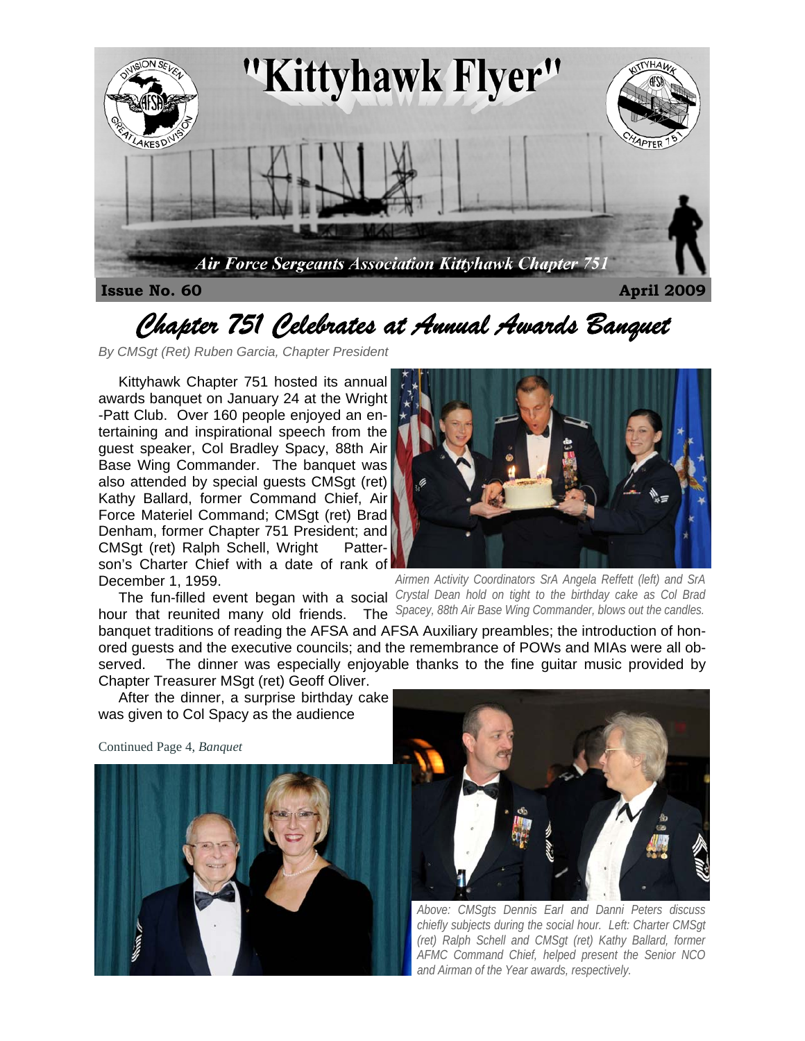

# *Chapter 751 Celebrates at Annual Awards Banquet*

*By CMSgt (Ret) Ruben Garcia, Chapter President* 

 Kittyhawk Chapter 751 hosted its annual awards banquet on January 24 at the Wright -Patt Club. Over 160 people enjoyed an entertaining and inspirational speech from the guest speaker, Col Bradley Spacy, 88th Air Base Wing Commander. The banquet was also attended by special guests CMSgt (ret) Kathy Ballard, former Command Chief, Air Force Materiel Command; CMSgt (ret) Brad Denham, former Chapter 751 President; and CMSgt (ret) Ralph Schell, Wright Patterson's Charter Chief with a date of rank of December 1, 1959.

hour that reunited many old friends. The

 The fun-filled event began with a social *Crystal Dean hold on tight to the birthday cake as Col Brad Airmen Activity Coordinators SrA Angela Reffett (left) and SrA Spacey, 88th Air Base Wing Commander, blows out the candles.* 

banquet traditions of reading the AFSA and AFSA Auxiliary preambles; the introduction of honored guests and the executive councils; and the remembrance of POWs and MIAs were all observed. The dinner was especially enjoyable thanks to the fine guitar music provided by Chapter Treasurer MSgt (ret) Geoff Oliver.

 After the dinner, a surprise birthday cake was given to Col Spacy as the audience

Continued Page 4, *Banquet*





*Above: CMSgts Dennis Earl and Danni Peters discuss chiefly subjects during the social hour. Left: Charter CMSgt (ret) Ralph Schell and CMSgt (ret) Kathy Ballard, former AFMC Command Chief, helped present the Senior NCO and Airman of the Year awards, respectively.*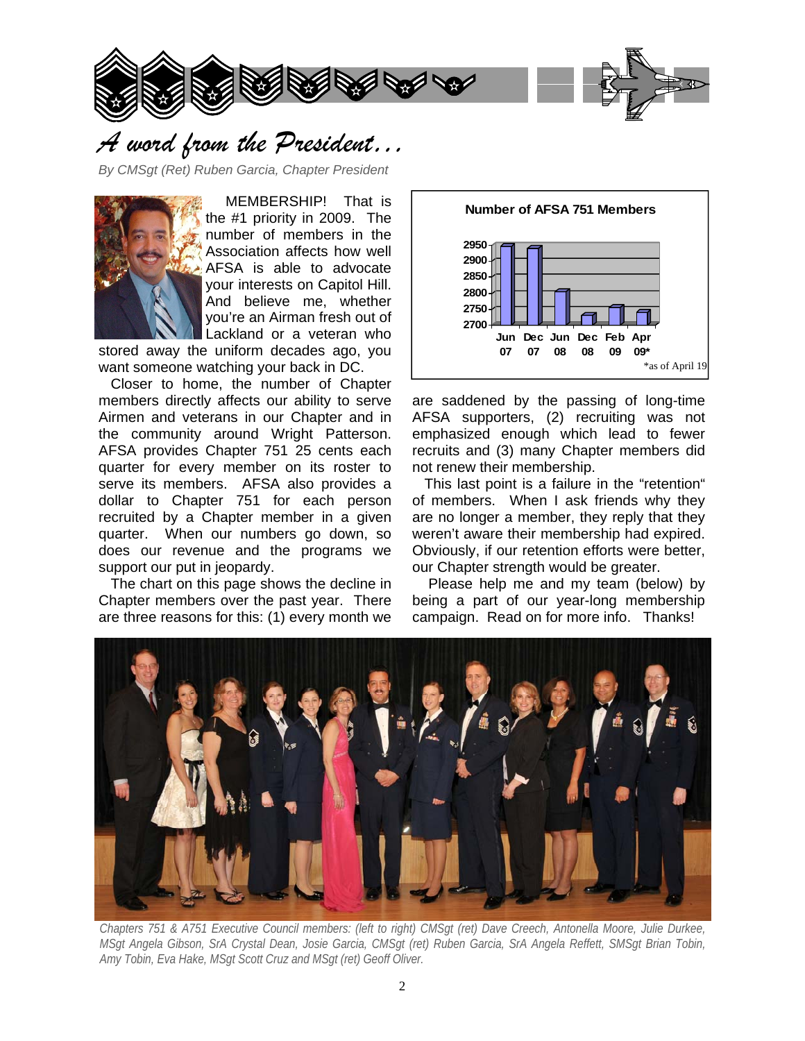

### *A word from the President…*

*By CMSgt (Ret) Ruben Garcia, Chapter President* 



 MEMBERSHIP! That is the #1 priority in 2009. The number of members in the Association affects how well AFSA is able to advocate your interests on Capitol Hill. And believe me, whether you're an Airman fresh out of Lackland or a veteran who

stored away the uniform decades ago, you want someone watching your back in DC.

 Closer to home, the number of Chapter members directly affects our ability to serve Airmen and veterans in our Chapter and in the community around Wright Patterson. AFSA provides Chapter 751 25 cents each quarter for every member on its roster to serve its members. AFSA also provides a dollar to Chapter 751 for each person recruited by a Chapter member in a given quarter. When our numbers go down, so does our revenue and the programs we support our put in jeopardy.

 The chart on this page shows the decline in Chapter members over the past year. There are three reasons for this: (1) every month we



are saddened by the passing of long-time AFSA supporters, (2) recruiting was not emphasized enough which lead to fewer recruits and (3) many Chapter members did not renew their membership.

 This last point is a failure in the "retention" of members. When I ask friends why they are no longer a member, they reply that they weren't aware their membership had expired. Obviously, if our retention efforts were better, our Chapter strength would be greater.

 Please help me and my team (below) by being a part of our year-long membership campaign. Read on for more info. Thanks!



*Chapters 751 & A751 Executive Council members: (left to right) CMSgt (ret) Dave Creech, Antonella Moore, Julie Durkee, MSgt Angela Gibson, SrA Crystal Dean, Josie Garcia, CMSgt (ret) Ruben Garcia, SrA Angela Reffett, SMSgt Brian Tobin, Amy Tobin, Eva Hake, MSgt Scott Cruz and MSgt (ret) Geoff Oliver.*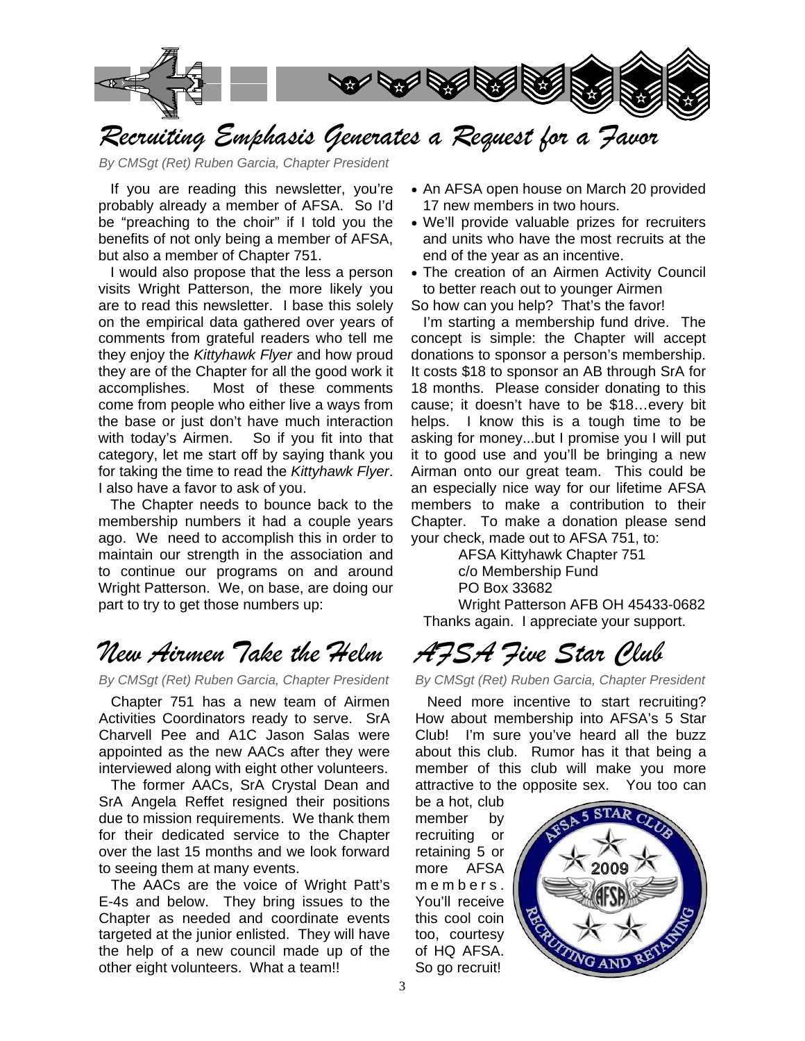

# *Recruiting Emphasis Generates a Request for a Favor*

*By CMSgt (Ret) Ruben Garcia, Chapter President* 

 If you are reading this newsletter, you're probably already a member of AFSA. So I'd be "preaching to the choir" if I told you the benefits of not only being a member of AFSA, but also a member of Chapter 751.

 I would also propose that the less a person visits Wright Patterson, the more likely you are to read this newsletter. I base this solely on the empirical data gathered over years of comments from grateful readers who tell me they enjoy the *Kittyhawk Flyer* and how proud they are of the Chapter for all the good work it accomplishes. Most of these comments come from people who either live a ways from the base or just don't have much interaction with today's Airmen. So if you fit into that category, let me start off by saying thank you for taking the time to read the *Kittyhawk Flyer*. I also have a favor to ask of you.

 The Chapter needs to bounce back to the membership numbers it had a couple years ago. We need to accomplish this in order to maintain our strength in the association and to continue our programs on and around Wright Patterson. We, on base, are doing our part to try to get those numbers up:

# *New Airmen Take the Helm*

*By CMSgt (Ret) Ruben Garcia, Chapter President* 

 Chapter 751 has a new team of Airmen Activities Coordinators ready to serve. SrA Charvell Pee and A1C Jason Salas were appointed as the new AACs after they were interviewed along with eight other volunteers.

 The former AACs, SrA Crystal Dean and SrA Angela Reffet resigned their positions due to mission requirements. We thank them for their dedicated service to the Chapter over the last 15 months and we look forward to seeing them at many events.

 The AACs are the voice of Wright Patt's E-4s and below. They bring issues to the Chapter as needed and coordinate events targeted at the junior enlisted. They will have the help of a new council made up of the other eight volunteers. What a team!!

- An AFSA open house on March 20 provided 17 new members in two hours.
- We'll provide valuable prizes for recruiters and units who have the most recruits at the end of the year as an incentive.
- The creation of an Airmen Activity Council to better reach out to younger Airmen

So how can you help? That's the favor!

 I'm starting a membership fund drive. The concept is simple: the Chapter will accept donations to sponsor a person's membership. It costs \$18 to sponsor an AB through SrA for 18 months. Please consider donating to this cause; it doesn't have to be \$18…every bit helps. I know this is a tough time to be asking for money...but I promise you I will put it to good use and you'll be bringing a new Airman onto our great team. This could be an especially nice way for our lifetime AFSA members to make a contribution to their Chapter. To make a donation please send your check, made out to AFSA 751, to:

AFSA Kittyhawk Chapter 751 c/o Membership Fund PO Box 33682 Wright Patterson AFB OH 45433-0682

Thanks again. I appreciate your support.

*AFSA Five Star Club* 

*By CMSgt (Ret) Ruben Garcia, Chapter President* 

 Need more incentive to start recruiting? How about membership into AFSA's 5 Star Club! I'm sure you've heard all the buzz about this club. Rumor has it that being a member of this club will make you more attractive to the opposite sex. You too can

be a hot, club member by recruiting or retaining 5 or more AFSA m e m b e r s. You'll receive this cool coin too, courtesy of HQ AFSA. So go recruit!

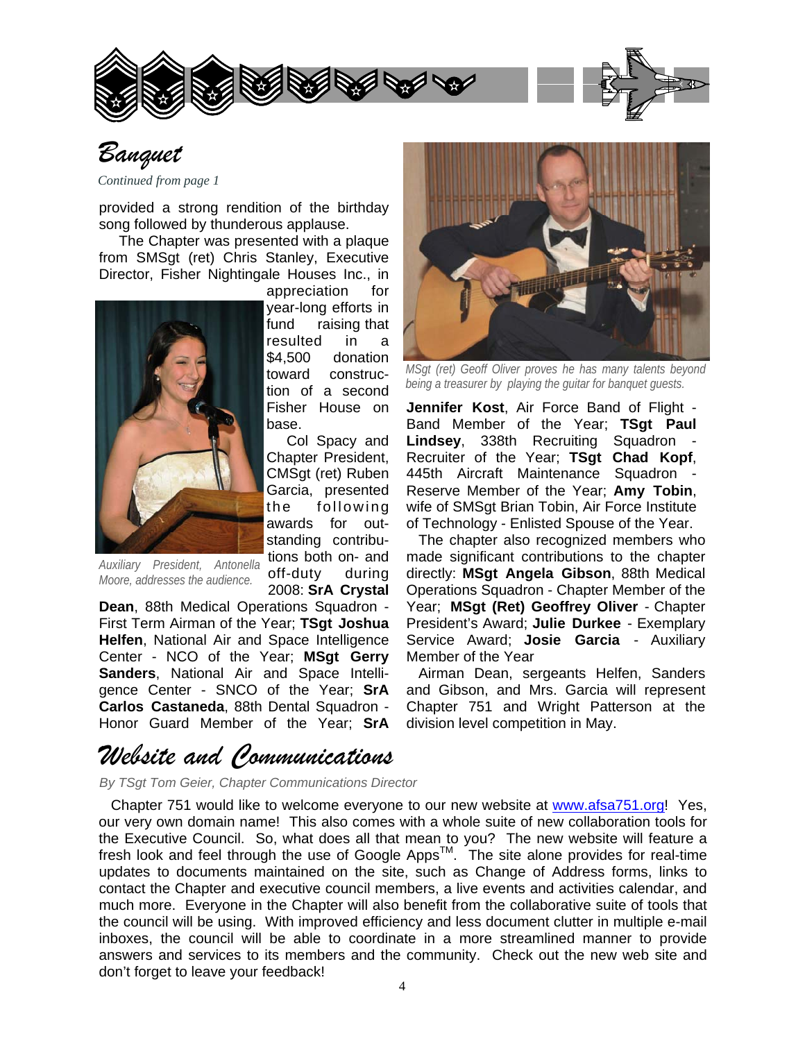

appreciation for year-long efforts in fund raising that resulted in a \$4,500 donation toward construction of a second Fisher House on

 Col Spacy and Chapter President, CMSgt (ret) Ruben Garcia, presented the following awards for outstanding contribu-

base.



### *Banquet*

*Continued from page 1*

provided a strong rendition of the birthday song followed by thunderous applause.

 The Chapter was presented with a plaque from SMSgt (ret) Chris Stanley, Executive Director, Fisher Nightingale Houses Inc., in



tions both on- and off-duty during 2008: **SrA Crystal**  *Auxiliary President, Antonella Moore, addresses the audience.* 

**Dean**, 88th Medical Operations Squadron - First Term Airman of the Year; **TSgt Joshua Helfen**, National Air and Space Intelligence Center - NCO of the Year; **MSgt Gerry Sanders**, National Air and Space Intelligence Center - SNCO of the Year; **SrA Carlos Castaneda**, 88th Dental Squadron - Honor Guard Member of the Year; **SrA** 

# *Website and Communications*

*By TSgt Tom Geier, Chapter Communications Director*

 Chapter 751 would like to welcome everyone to our new website at www.afsa751.org! Yes, our very own domain name! This also comes with a whole suite of new collaboration tools for the Executive Council. So, what does all that mean to you? The new website will feature a  $\frac{1}{2}$  fresh look and feel through the use of Google Apps<sup>TM</sup>. The site alone provides for real-time updates to documents maintained on the site, such as Change of Address forms, links to contact the Chapter and executive council members, a live events and activities calendar, and much more. Everyone in the Chapter will also benefit from the collaborative suite of tools that the council will be using. With improved efficiency and less document clutter in multiple e-mail inboxes, the council will be able to coordinate in a more streamlined manner to provide answers and services to its members and the community. Check out the new web site and don't forget to leave your feedback!



*MSgt (ret) Geoff Oliver proves he has many talents beyond being a treasurer by playing the guitar for banquet guests.* 

**Jennifer Kost**, Air Force Band of Flight - Band Member of the Year; **TSgt Paul Lindsey**, 338th Recruiting Squadron - Recruiter of the Year; **TSgt Chad Kopf**, 445th Aircraft Maintenance Squadron - Reserve Member of the Year; **Amy Tobin**, wife of SMSgt Brian Tobin, Air Force Institute of Technology - Enlisted Spouse of the Year.

 The chapter also recognized members who made significant contributions to the chapter directly: **MSgt Angela Gibson**, 88th Medical Operations Squadron - Chapter Member of the Year; **MSgt (Ret) Geoffrey Oliver** - Chapter President's Award; **Julie Durkee** - Exemplary Service Award; **Josie Garcia** - Auxiliary Member of the Year

 Airman Dean, sergeants Helfen, Sanders and Gibson, and Mrs. Garcia will represent Chapter 751 and Wright Patterson at the division level competition in May.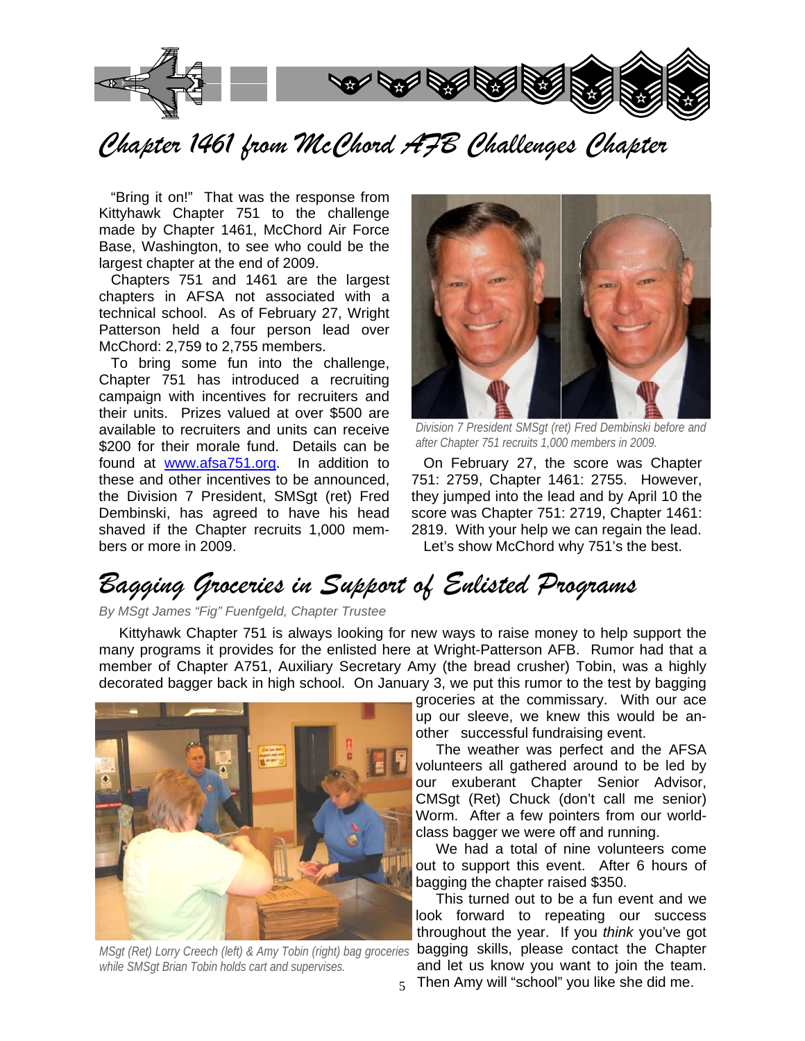

*Chapter 1461 from McChord AFB Challenges Chapter* 

 "Bring it on!" That was the response from Kittyhawk Chapter 751 to the challenge made by Chapter 1461, McChord Air Force Base, Washington, to see who could be the largest chapter at the end of 2009.

 Chapters 751 and 1461 are the largest chapters in AFSA not associated with a technical school. As of February 27, Wright Patterson held a four person lead over McChord: 2,759 to 2,755 members.

 To bring some fun into the challenge, Chapter 751 has introduced a recruiting campaign with incentives for recruiters and their units. Prizes valued at over \$500 are available to recruiters and units can receive \$200 for their morale fund. Details can be found at www.afsa751.org. In addition to these and other incentives to be announced, the Division 7 President, SMSgt (ret) Fred Dembinski, has agreed to have his head shaved if the Chapter recruits 1,000 members or more in 2009.



*Division 7 President SMSgt (ret) Fred Dembinski before and after Chapter 751 recruits 1,000 members in 2009.* 

 On February 27, the score was Chapter 751: 2759, Chapter 1461: 2755. However, they jumped into the lead and by April 10 the score was Chapter 751: 2719, Chapter 1461: 2819. With your help we can regain the lead. Let's show McChord why 751's the best.

# *Bagging Groceries in Support of Enlisted Programs*

*By MSgt James "Fig" Fuenfgeld, Chapter Trustee* 

 Kittyhawk Chapter 751 is always looking for new ways to raise money to help support the many programs it provides for the enlisted here at Wright-Patterson AFB. Rumor had that a member of Chapter A751, Auxiliary Secretary Amy (the bread crusher) Tobin, was a highly decorated bagger back in high school. On January 3, we put this rumor to the test by bagging



*while SMSgt Brian Tobin holds cart and supervises.* 

groceries at the commissary. With our ace up our sleeve, we knew this would be another successful fundraising event.

 The weather was perfect and the AFSA volunteers all gathered around to be led by our exuberant Chapter Senior Advisor, CMSgt (Ret) Chuck (don't call me senior) Worm. After a few pointers from our worldclass bagger we were off and running.

 We had a total of nine volunteers come out to support this event. After 6 hours of bagging the chapter raised \$350.

5 Then Amy will "school" you like she did me. This turned out to be a fun event and we look forward to repeating our success throughout the year. If you *think* you've got MSgt (Ret) Lorry Creech (left) & Amy Tobin (right) bag groceries **bagging skills, please contact the Chapter** and let us know you want to join the team.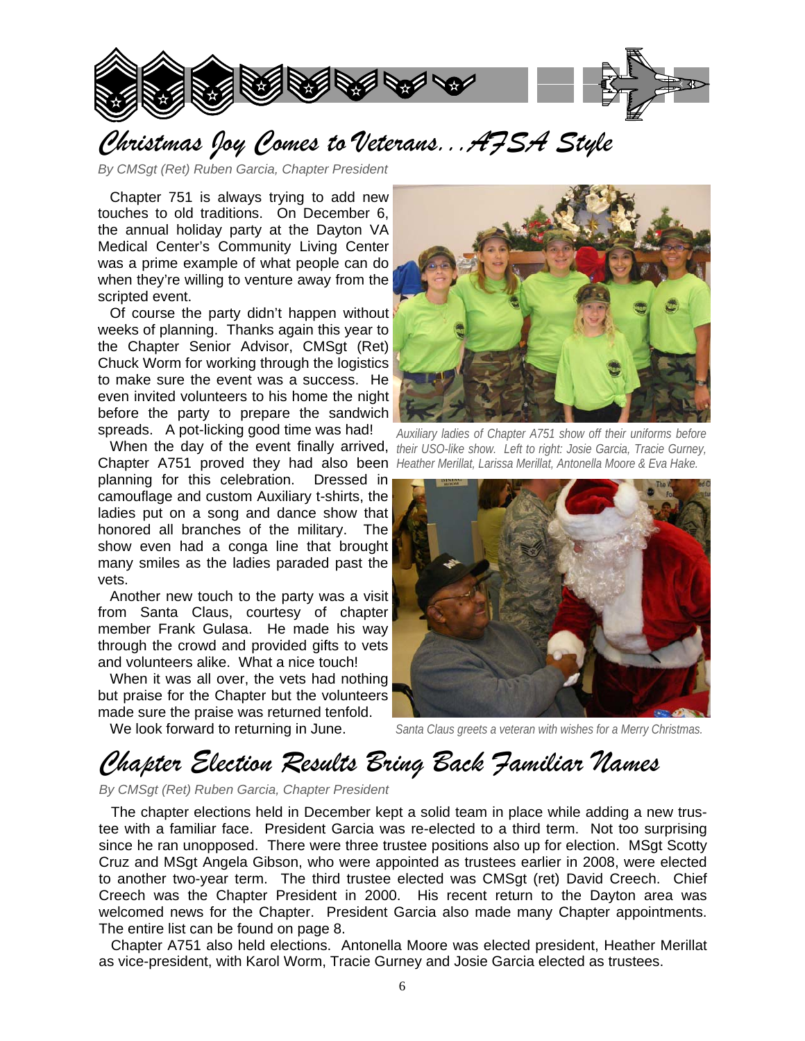

# *Christmas Joy Comes to Veterans...AFSA Style*

*By CMSgt (Ret) Ruben Garcia, Chapter President*

 Chapter 751 is always trying to add new touches to old traditions. On December 6, the annual holiday party at the Dayton VA Medical Center's Community Living Center was a prime example of what people can do when they're willing to venture away from the scripted event.

 Of course the party didn't happen without weeks of planning. Thanks again this year to the Chapter Senior Advisor, CMSgt (Ret) Chuck Worm for working through the logistics to make sure the event was a success. He even invited volunteers to his home the night before the party to prepare the sandwich spreads. A pot-licking good time was had!

Chapter A751 proved they had also been Heather Merillat, Larissa Merillat, Antonella Moore & Eva Hake. planning for this celebration. Dressed in camouflage and custom Auxiliary t-shirts, the ladies put on a song and dance show that honored all branches of the military. The show even had a conga line that brought many smiles as the ladies paraded past the vets.

 Another new touch to the party was a visit from Santa Claus, courtesy of chapter member Frank Gulasa. He made his way through the crowd and provided gifts to vets and volunteers alike. What a nice touch!

 When it was all over, the vets had nothing but praise for the Chapter but the volunteers made sure the praise was returned tenfold.

We look forward to returning in June.



When the day of the event finally arrived, *their USO-like show.* Left to right: Josie Garcia, Tracie Gurney, *Auxiliary ladies of Chapter A751 show off their uniforms before* 



*Santa Claus greets a veteran with wishes for a Merry Christmas.* 

### *Chapter Election Results Bring Back Familiar Names*

*By CMSgt (Ret) Ruben Garcia, Chapter President*

 The chapter elections held in December kept a solid team in place while adding a new trustee with a familiar face. President Garcia was re-elected to a third term. Not too surprising since he ran unopposed. There were three trustee positions also up for election. MSgt Scotty Cruz and MSgt Angela Gibson, who were appointed as trustees earlier in 2008, were elected to another two-year term. The third trustee elected was CMSgt (ret) David Creech. Chief Creech was the Chapter President in 2000. His recent return to the Dayton area was welcomed news for the Chapter. President Garcia also made many Chapter appointments. The entire list can be found on page 8.

 Chapter A751 also held elections. Antonella Moore was elected president, Heather Merillat as vice-president, with Karol Worm, Tracie Gurney and Josie Garcia elected as trustees.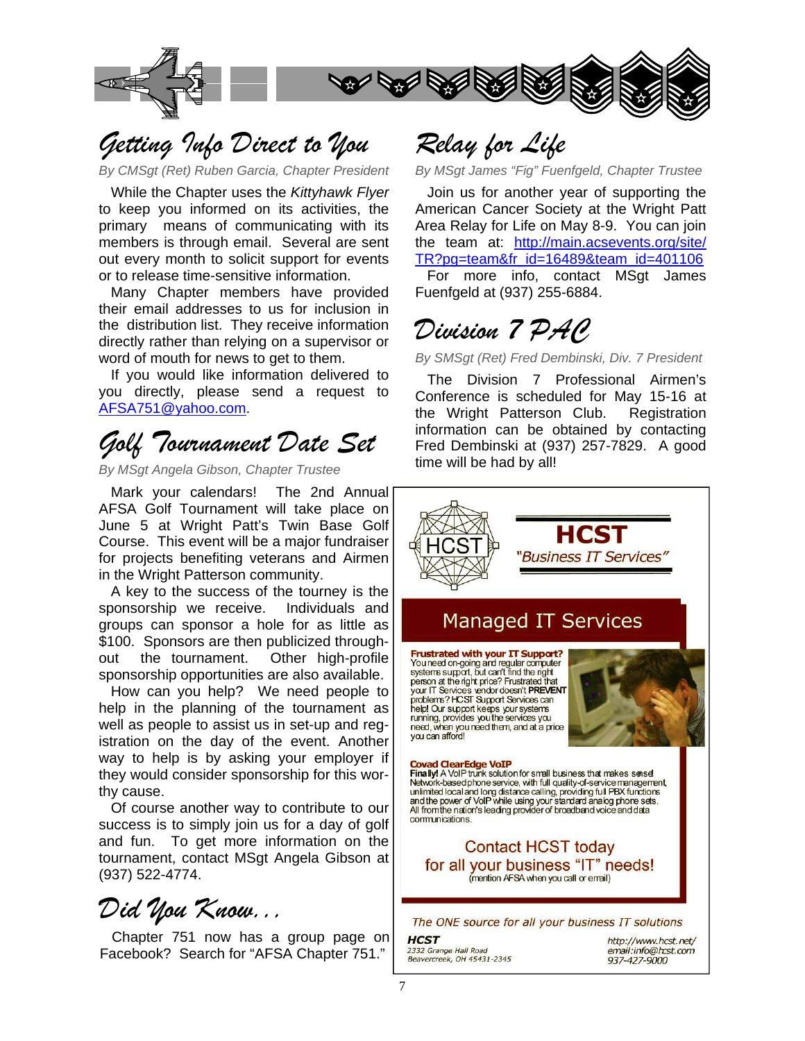

### *Getting Info Direct to You*

*By CMSgt (Ret) Ruben Garcia, Chapter President* 

 While the Chapter uses the *Kittyhawk Flyer*  to keep you informed on its activities, the primary means of communicating with its members is through email. Several are sent out every month to solicit support for events or to release time-sensitive information.

 Many Chapter members have provided their email addresses to us for inclusion in the distribution list. They receive information directly rather than relying on a supervisor or word of mouth for news to get to them.

 If you would like information delivered to you directly, please send a request to AFSA751@yahoo.com.

# *Golf Tournament Date Set*

*By MSgt Angela Gibson, Chapter Trustee* 

 Mark your calendars! The 2nd Annual AFSA Golf Tournament will take place on June 5 at Wright Patt's Twin Base Golf Course. This event will be a major fundraiser for projects benefiting veterans and Airmen in the Wright Patterson community.

 A key to the success of the tourney is the sponsorship we receive. Individuals and groups can sponsor a hole for as little as \$100. Sponsors are then publicized throughout the tournament. Other high-profile sponsorship opportunities are also available.

 How can you help? We need people to help in the planning of the tournament as well as people to assist us in set-up and registration on the day of the event. Another way to help is by asking your employer if they would consider sponsorship for this worthy cause.

 Of course another way to contribute to our success is to simply join us for a day of golf and fun. To get more information on the tournament, contact MSgt Angela Gibson at (937) 522-4774.

*Did You Know...*

 Chapter 751 now has a group page on Facebook? Search for "AFSA Chapter 751."

*Relay for Life* 

*By MSgt James "Fig" Fuenfgeld, Chapter Trustee* 

 Join us for another year of supporting the American Cancer Society at the Wright Patt Area Relay for Life on May 8-9. You can join the team at: http://main.acsevents.org/site/ TR?pg=team&fr\_id=16489&team\_id=401106 For more info, contact MSgt James Fuenfgeld at (937) 255-6884.

# *Division 7 PAC*

*By SMSgt (Ret) Fred Dembinski, Div. 7 President* 

 The Division 7 Professional Airmen's Conference is scheduled for May 15-16 at the Wright Patterson Club. Registration information can be obtained by contacting Fred Dembinski at (937) 257-7829. A good time will be had by all!